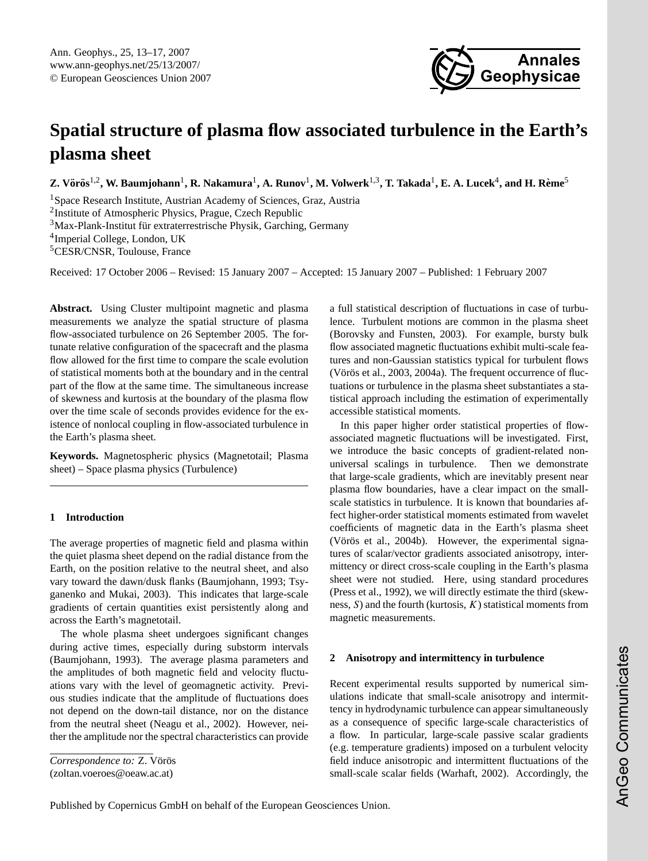

# <span id="page-0-0"></span>**Spatial structure of plasma flow associated turbulence in the Earth's plasma sheet**

 $\bf Z$ . Vörös $^{1,2}$ , W. Baumjohann $^1$ , R. Nakamura $^1$ , A. Runov $^1$ , M. Volwerk $^{1,3}$ , T. Takada $^1$ , E. A. Lucek $^4$ , and H. Rème $^5$ 

<sup>1</sup>Space Research Institute, Austrian Academy of Sciences, Graz, Austria <sup>2</sup>Institute of Atmospheric Physics, Prague, Czech Republic  $3$ Max-Plank-Institut für extraterrestrische Physik, Garching, Germany 4 Imperial College, London, UK <sup>5</sup>CESR/CNSR, Toulouse, France

Received: 17 October 2006 – Revised: 15 January 2007 – Accepted: 15 January 2007 – Published: 1 February 2007

**Abstract.** Using Cluster multipoint magnetic and plasma measurements we analyze the spatial structure of plasma flow-associated turbulence on 26 September 2005. The fortunate relative configuration of the spacecraft and the plasma flow allowed for the first time to compare the scale evolution of statistical moments both at the boundary and in the central part of the flow at the same time. The simultaneous increase of skewness and kurtosis at the boundary of the plasma flow over the time scale of seconds provides evidence for the existence of nonlocal coupling in flow-associated turbulence in the Earth's plasma sheet.

**Keywords.** Magnetospheric physics (Magnetotail; Plasma sheet) – Space plasma physics (Turbulence)

## **1 Introduction**

The average properties of magnetic field and plasma within the quiet plasma sheet depend on the radial distance from the Earth, on the position relative to the neutral sheet, and also vary toward the dawn/dusk flanks [\(Baumjohann,](#page-3-0) [1993;](#page-3-0) [Tsy](#page-3-1)[ganenko and Mukai,](#page-3-1) [2003\)](#page-3-1). This indicates that large-scale gradients of certain quantities exist persistently along and across the Earth's magnetotail.

The whole plasma sheet undergoes significant changes during active times, especially during substorm intervals [\(Baumjohann,](#page-3-0) [1993\)](#page-3-0). The average plasma parameters and the amplitudes of both magnetic field and velocity fluctuations vary with the level of geomagnetic activity. Previous studies indicate that the amplitude of fluctuations does not depend on the down-tail distance, nor on the distance from the neutral sheet [\(Neagu et al.,](#page-3-2) [2002\)](#page-3-2). However, neither the amplitude nor the spectral characteristics can provide

(zoltan.voeroes@oeaw.ac.at)

a full statistical description of fluctuations in case of turbulence. Turbulent motions are common in the plasma sheet [\(Borovsky and Funsten,](#page-3-3) [2003\)](#page-3-3). For example, bursty bulk flow associated magnetic fluctuations exhibit multi-scale features and non-Gaussian statistics typical for turbulent flows (Vörös et al.,  $2003$ ,  $2004a$ ). The frequent occurrence of fluctuations or turbulence in the plasma sheet substantiates a statistical approach including the estimation of experimentally accessible statistical moments.

In this paper higher order statistical properties of flowassociated magnetic fluctuations will be investigated. First, we introduce the basic concepts of gradient-related nonuniversal scalings in turbulence. Then we demonstrate that large-scale gradients, which are inevitably present near plasma flow boundaries, have a clear impact on the smallscale statistics in turbulence. It is known that boundaries affect higher-order statistical moments estimated from wavelet coefficients of magnetic data in the Earth's plasma sheet (Vörös et al., [2004b\)](#page-4-0). However, the experimental signatures of scalar/vector gradients associated anisotropy, intermittency or direct cross-scale coupling in the Earth's plasma sheet were not studied. Here, using standard procedures [\(Press et al.,](#page-3-6) [1992\)](#page-3-6), we will directly estimate the third (skewness,  $S$ ) and the fourth (kurtosis,  $K$ ) statistical moments from magnetic measurements.

### **2 Anisotropy and intermittency in turbulence**

Recent experimental results supported by numerical simulations indicate that small-scale anisotropy and intermittency in hydrodynamic turbulence can appear simultaneously as a consequence of specific large-scale characteristics of a flow. In particular, large-scale passive scalar gradients (e.g. temperature gradients) imposed on a turbulent velocity field induce anisotropic and intermittent fluctuations of the small-scale scalar fields [\(Warhaft,](#page-4-1) [2002\)](#page-4-1). Accordingly, the

Published by Copernicus GmbH on behalf of the European Geosciences Union.

*Correspondence to:* Z. Vörös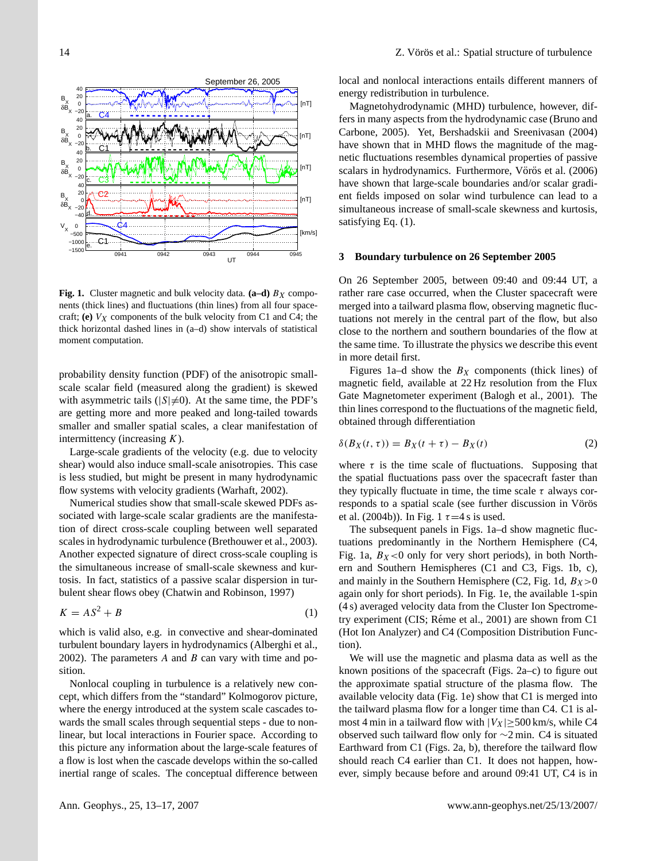

**Fig. 1.** Cluster magnetic and bulk velocity data.  $(a-d)$   $B_X$  components (thick lines) and fluctuations (thin lines) from all four spacecraft; **(e)**  $V_X$  components of the bulk velocity from C1 and C4; the thick horizontal dashed lines in (a–d) show intervals of statistical moment computation.

probability density function (PDF) of the anisotropic smallscale scalar field (measured along the gradient) is skewed with asymmetric tails ( $|S| \neq 0$ ). At the same time, the PDF's are getting more and more peaked and long-tailed towards smaller and smaller spatial scales, a clear manifestation of intermittency (increasing  $K$ ).

Large-scale gradients of the velocity (e.g. due to velocity shear) would also induce small-scale anisotropies. This case is less studied, but might be present in many hydrodynamic flow systems with velocity gradients [\(Warhaft,](#page-4-1) [2002\)](#page-4-1).

Numerical studies show that small-scale skewed PDFs associated with large-scale scalar gradients are the manifestation of direct cross-scale coupling between well separated scales in hydrodynamic turbulence [\(Brethouwer et al.,](#page-3-7) [2003\)](#page-3-7). Another expected signature of direct cross-scale coupling is the simultaneous increase of small-scale skewness and kurtosis. In fact, statistics of a passive scalar dispersion in turbulent shear flows obey [\(Chatwin and Robinson,](#page-3-8) [1997\)](#page-3-8)

$$
K = AS^2 + B \tag{1}
$$

which is valid also, e.g. in convective and shear-dominated turbulent boundary layers in hydrodynamics [\(Alberghi et al.,](#page-3-9) [2002\)](#page-3-9). The parameters  $A$  and  $B$  can vary with time and position.

Nonlocal coupling in turbulence is a relatively new concept, which differs from the "standard" Kolmogorov picture, where the energy introduced at the system scale cascades towards the small scales through sequential steps - due to nonlinear, but local interactions in Fourier space. According to this picture any information about the large-scale features of a flow is lost when the cascade develops within the so-called inertial range of scales. The conceptual difference between

local and nonlocal interactions entails different manners of energy redistribution in turbulence.

Magnetohydrodynamic (MHD) turbulence, however, differs in many aspects from the hydrodynamic case [\(Bruno and](#page-3-10) [Carbone,](#page-3-10) [2005\)](#page-3-10). Yet, [Bershadskii and Sreenivasan](#page-3-11) [\(2004\)](#page-3-11) have shown that in MHD flows the magnitude of the magnetic fluctuations resembles dynamical properties of passive scalars in hydrodynamics. Furthermore, Vörös et al. [\(2006\)](#page-4-2) have shown that large-scale boundaries and/or scalar gradient fields imposed on solar wind turbulence can lead to a simultaneous increase of small-scale skewness and kurtosis, satisfying Eq. (1).

#### **3 Boundary turbulence on 26 September 2005**

On 26 September 2005, between 09:40 and 09:44 UT, a rather rare case occurred, when the Cluster spacecraft were merged into a tailward plasma flow, observing magnetic fluctuations not merely in the central part of the flow, but also close to the northern and southern boundaries of the flow at the same time. To illustrate the physics we describe this event in more detail first.

Figures 1a–d show the  $B_X$  components (thick lines) of magnetic field, available at 22 Hz resolution from the Flux Gate Magnetometer experiment [\(Balogh et al.,](#page-3-12) [2001\)](#page-3-12). The thin lines correspond to the fluctuations of the magnetic field, obtained through differentiation

$$
\delta(B_X(t,\tau)) = B_X(t+\tau) - B_X(t) \tag{2}
$$

where  $\tau$  is the time scale of fluctuations. Supposing that the spatial fluctuations pass over the spacecraft faster than they typically fluctuate in time, the time scale  $\tau$  always corresponds to a spatial scale (see further discussion in Vörös [et al.](#page-4-0) [\(2004b\)](#page-4-0)). In Fig. 1  $\tau$ =4 s is used.

The subsequent panels in Figs. 1a–d show magnetic fluctuations predominantly in the Northern Hemisphere (C4, Fig. 1a,  $B_X < 0$  only for very short periods), in both Northern and Southern Hemispheres (C1 and C3, Figs. 1b, c), and mainly in the Southern Hemisphere (C2, Fig. 1d,  $B_X>0$ again only for short periods). In Fig. 1e, the available 1-spin (4 s) averaged velocity data from the Cluster Ion Spectrometry experiment (CIS; Réme et al., 2001) are shown from C1 (Hot Ion Analyzer) and C4 (Composition Distribution Function).

We will use the magnetic and plasma data as well as the known positions of the spacecraft (Figs. 2a–c) to figure out the approximate spatial structure of the plasma flow. The available velocity data (Fig. 1e) show that C1 is merged into the tailward plasma flow for a longer time than C4. C1 is almost 4 min in a tailward flow with  $|V_X| \geq 500$  km/s, while C4 observed such tailward flow only for ∼2 min. C4 is situated Earthward from C1 (Figs. 2a, b), therefore the tailward flow should reach C4 earlier than C1. It does not happen, however, simply because before and around 09:41 UT, C4 is in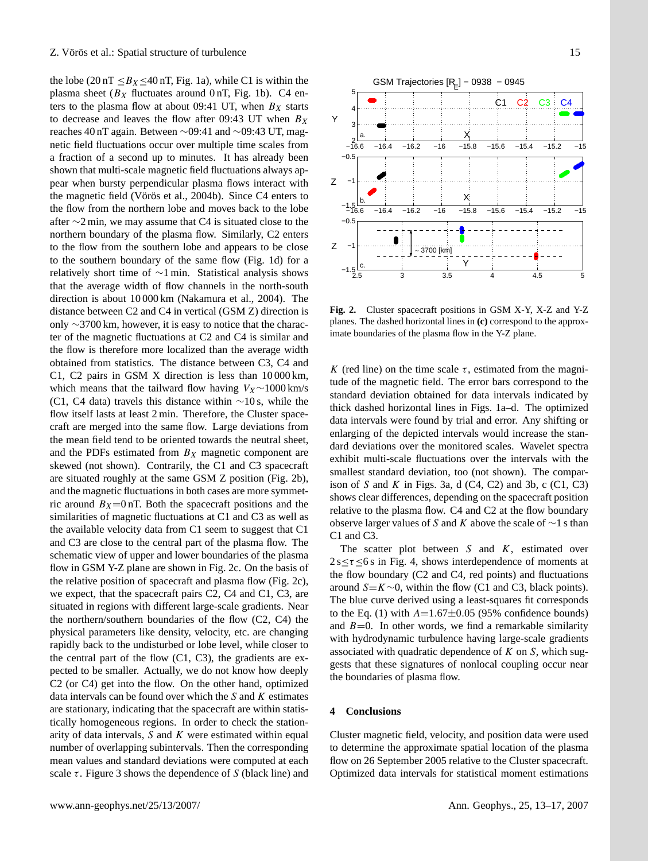the lobe (20 nT  $\leq B_X \leq 40$  nT, Fig. 1a), while C1 is within the plasma sheet ( $B_X$  fluctuates around 0 nT, Fig. 1b). C4 enters to the plasma flow at about 09:41 UT, when  $B_X$  starts to decrease and leaves the flow after 09:43 UT when  $B_X$ reaches 40 nT again. Between ∼09:41 and ∼09:43 UT, magnetic field fluctuations occur over multiple time scales from a fraction of a second up to minutes. It has already been shown that multi-scale magnetic field fluctuations always appear when bursty perpendicular plasma flows interact with the magnetic field (Vörös et al., [2004b\)](#page-4-0). Since C4 enters to the flow from the northern lobe and moves back to the lobe after ∼2 min, we may assume that C4 is situated close to the northern boundary of the plasma flow. Similarly, C2 enters to the flow from the southern lobe and appears to be close to the southern boundary of the same flow (Fig. 1d) for a relatively short time of ∼1 min. Statistical analysis shows that the average width of flow channels in the north-south direction is about 10 000 km [\(Nakamura et al.,](#page-3-13) [2004\)](#page-3-13). The distance between C2 and C4 in vertical (GSM Z) direction is only ∼3700 km, however, it is easy to notice that the character of the magnetic fluctuations at C2 and C4 is similar and the flow is therefore more localized than the average width obtained from statistics. The distance between C3, C4 and C1, C2 pairs in GSM X direction is less than 10 000 km, which means that the tailward flow having  $V_X \sim 1000$  km/s (C1, C4 data) travels this distance within ∼10 s, while the flow itself lasts at least 2 min. Therefore, the Cluster spacecraft are merged into the same flow. Large deviations from the mean field tend to be oriented towards the neutral sheet, and the PDFs estimated from  $B<sub>X</sub>$  magnetic component are skewed (not shown). Contrarily, the C1 and C3 spacecraft are situated roughly at the same GSM Z position (Fig. 2b), and the magnetic fluctuations in both cases are more symmetric around  $B_X=0$  nT. Both the spacecraft positions and the similarities of magnetic fluctuations at C1 and C3 as well as the available velocity data from C1 seem to suggest that C1 and C3 are close to the central part of the plasma flow. The schematic view of upper and lower boundaries of the plasma flow in GSM Y-Z plane are shown in Fig. 2c. On the basis of the relative position of spacecraft and plasma flow (Fig. 2c), we expect, that the spacecraft pairs C2, C4 and C1, C3, are situated in regions with different large-scale gradients. Near the northern/southern boundaries of the flow (C2, C4) the physical parameters like density, velocity, etc. are changing rapidly back to the undisturbed or lobe level, while closer to the central part of the flow (C1, C3), the gradients are expected to be smaller. Actually, we do not know how deeply C2 (or C4) get into the flow. On the other hand, optimized data intervals can be found over which the  $S$  and  $K$  estimates are stationary, indicating that the spacecraft are within statistically homogeneous regions. In order to check the stationarity of data intervals,  $S$  and  $K$  were estimated within equal number of overlapping subintervals. Then the corresponding mean values and standard deviations were computed at each scale  $\tau$ . Figure 3 shows the dependence of S (black line) and



**Fig. 2.** Cluster spacecraft positions in GSM X-Y, X-Z and Y-Z planes. The dashed horizontal lines in **(c)** correspond to the approximate boundaries of the plasma flow in the Y-Z plane.

K (red line) on the time scale  $\tau$ , estimated from the magnitude of the magnetic field. The error bars correspond to the standard deviation obtained for data intervals indicated by thick dashed horizontal lines in Figs. 1a–d. The optimized data intervals were found by trial and error. Any shifting or enlarging of the depicted intervals would increase the standard deviations over the monitored scales. Wavelet spectra exhibit multi-scale fluctuations over the intervals with the smallest standard deviation, too (not shown). The comparison of S and K in Figs. 3a, d  $(C4, C2)$  and 3b, c  $(C1, C3)$ shows clear differences, depending on the spacecraft position relative to the plasma flow. C4 and C2 at the flow boundary observe larger values of S and K above the scale of  $\sim$ 1 s than C1 and C3.

The scatter plot between  $S$  and  $K$ , estimated over  $2 s \le \tau \le 6 s$  in Fig. 4, shows interdependence of moments at the flow boundary (C2 and C4, red points) and fluctuations around  $S=K\sim 0$ , within the flow (C1 and C3, black points). The blue curve derived using a least-squares fit corresponds to the Eq. (1) with  $A=1.67\pm0.05$  (95% confidence bounds) and  $B=0$ . In other words, we find a remarkable similarity with hydrodynamic turbulence having large-scale gradients associated with quadratic dependence of  $K$  on  $S$ , which suggests that these signatures of nonlocal coupling occur near the boundaries of plasma flow.

#### **4 Conclusions**

Cluster magnetic field, velocity, and position data were used to determine the approximate spatial location of the plasma flow on 26 September 2005 relative to the Cluster spacecraft. Optimized data intervals for statistical moment estimations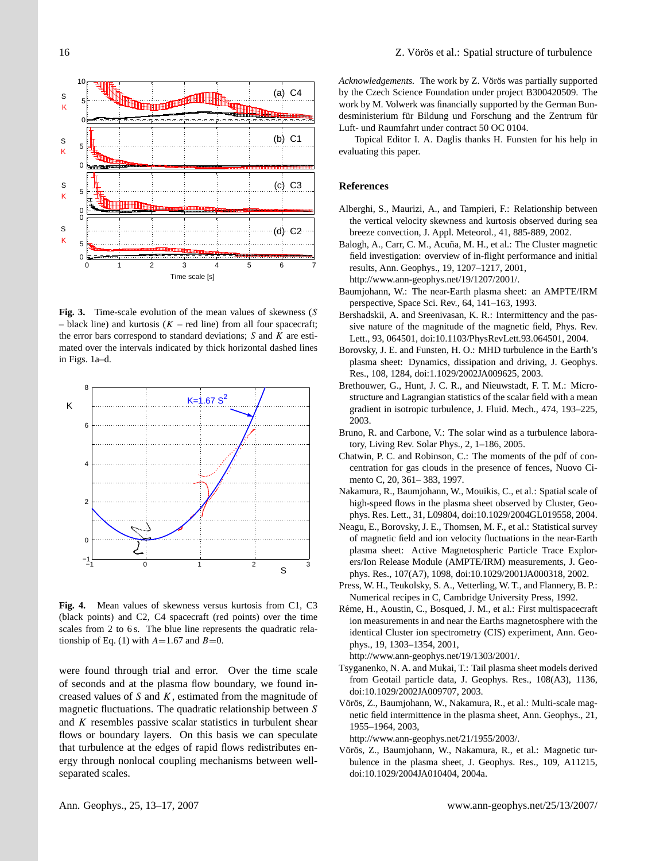

**Fig. 3.** Time-scale evolution of the mean values of skewness (S – black line) and kurtosis ( $K$  – red line) from all four spacecraft; the error bars correspond to standard deviations;  $S$  and  $K$  are estimated over the intervals indicated by thick horizontal dashed lines in Figs. 1a–d.



**Fig. 4.** Mean values of skewness versus kurtosis from C1, C3 (black points) and C2, C4 spacecraft (red points) over the time scales from 2 to 6 s. The blue line represents the quadratic relationship of Eq. (1) with  $A=1.67$  and  $B=0$ .

were found through trial and error. Over the time scale of seconds and at the plasma flow boundary, we found increased values of  $S$  and  $K$ , estimated from the magnitude of magnetic fluctuations. The quadratic relationship between S and  $K$  resembles passive scalar statistics in turbulent shear flows or boundary layers. On this basis we can speculate that turbulence at the edges of rapid flows redistributes energy through nonlocal coupling mechanisms between wellseparated scales.

*Acknowledgements.* The work by Z. Vörös was partially supported by the Czech Science Foundation under project B300420509. The work by M. Volwerk was financially supported by the German Bundesministerium für Bildung und Forschung and the Zentrum für Luft- und Raumfahrt under contract 50 OC 0104.

Topical Editor I. A. Daglis thanks H. Funsten for his help in evaluating this paper.

#### **References**

- <span id="page-3-9"></span>Alberghi, S., Maurizi, A., and Tampieri, F.: Relationship between the vertical velocity skewness and kurtosis observed during sea breeze convection, J. Appl. Meteorol., 41, 885-889, 2002.
- <span id="page-3-12"></span>Balogh, A., Carr, C. M., Acuña, M. H., et al.: The Cluster magnetic field investigation: overview of in-flight performance and initial results, Ann. Geophys., 19, 1207–1217, 2001, [http://www.ann-geophys.net/19/1207/2001/.](http://www.ann-geophys.net/19/1207/2001/)
- <span id="page-3-0"></span>Baumjohann, W.: The near-Earth plasma sheet: an AMPTE/IRM perspective, Space Sci. Rev., 64, 141–163, 1993.
- <span id="page-3-11"></span>Bershadskii, A. and Sreenivasan, K. R.: Intermittency and the passive nature of the magnitude of the magnetic field, Phys. Rev. Lett., 93, 064501, doi:10.1103/PhysRevLett.93.064501, 2004.
- <span id="page-3-3"></span>Borovsky, J. E. and Funsten, H. O.: MHD turbulence in the Earth's plasma sheet: Dynamics, dissipation and driving, J. Geophys. Res., 108, 1284, doi:1.1029/2002JA009625, 2003.
- <span id="page-3-7"></span>Brethouwer, G., Hunt, J. C. R., and Nieuwstadt, F. T. M.: Microstructure and Lagrangian statistics of the scalar field with a mean gradient in isotropic turbulence, J. Fluid. Mech., 474, 193–225, 2003.
- <span id="page-3-10"></span>Bruno, R. and Carbone, V.: The solar wind as a turbulence laboratory, Living Rev. Solar Phys., 2, 1–186, 2005.
- <span id="page-3-8"></span>Chatwin, P. C. and Robinson, C.: The moments of the pdf of concentration for gas clouds in the presence of fences, Nuovo Cimento C, 20, 361– 383, 1997.
- <span id="page-3-13"></span>Nakamura, R., Baumjohann, W., Mouikis, C., et al.: Spatial scale of high-speed flows in the plasma sheet observed by Cluster, Geophys. Res. Lett., 31, L09804, doi:10.1029/2004GL019558, 2004.
- <span id="page-3-2"></span>Neagu, E., Borovsky, J. E., Thomsen, M. F., et al.: Statistical survey of magnetic field and ion velocity fluctuations in the near-Earth plasma sheet: Active Magnetospheric Particle Trace Explorers/Ion Release Module (AMPTE/IRM) measurements, J. Geophys. Res., 107(A7), 1098, doi:10.1029/2001JA000318, 2002.
- <span id="page-3-6"></span>Press, W. H., Teukolsky, S. A., Vetterling, W. T., and Flannery, B. P.: Numerical recipes in C, Cambridge University Press, 1992.
- Réme, H., Aoustin, C., Bosqued, J. M., et al.: First multispacecraft ion measurements in and near the Earths magnetosphere with the identical Cluster ion spectrometry (CIS) experiment, Ann. Geophys., 19, 1303–1354, 2001,

[http://www.ann-geophys.net/19/1303/2001/.](http://www.ann-geophys.net/19/1303/2001/)

- <span id="page-3-1"></span>Tsyganenko, N. A. and Mukai, T.: Tail plasma sheet models derived from Geotail particle data, J. Geophys. Res., 108(A3), 1136, doi:10.1029/2002JA009707, 2003.
- <span id="page-3-4"></span>Vörös, Z., Baumjohann, W., Nakamura, R., et al.: Multi-scale magnetic field intermittence in the plasma sheet, Ann. Geophys., 21, 1955–1964, 2003,

[http://www.ann-geophys.net/21/1955/2003/.](http://www.ann-geophys.net/21/1955/2003/)

<span id="page-3-5"></span>Vörös, Z., Baumjohann, W., Nakamura, R., et al.: Magnetic turbulence in the plasma sheet, J. Geophys. Res., 109, A11215, doi:10.1029/2004JA010404, 2004a.